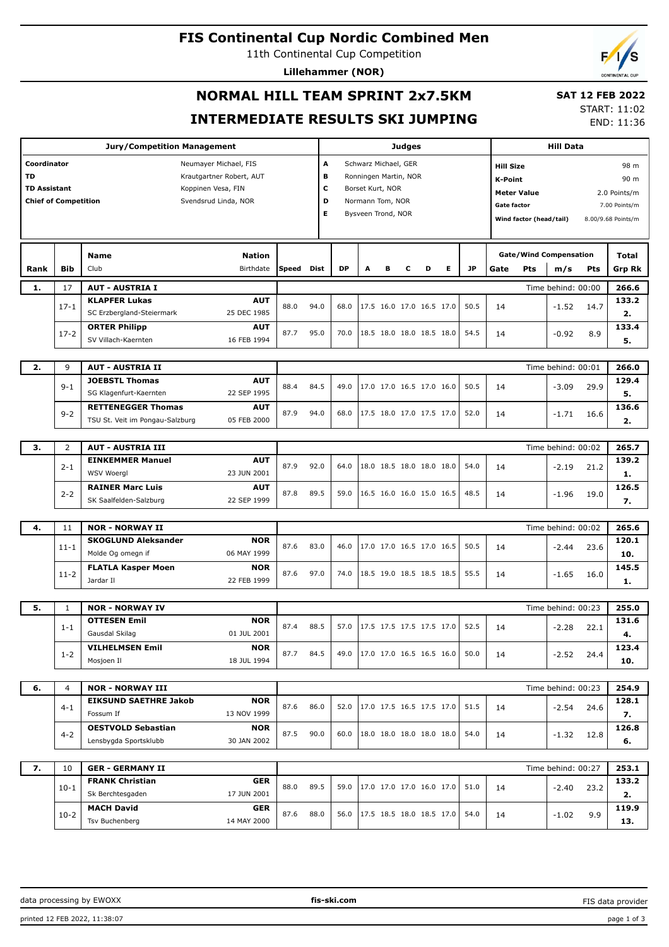## **FIS Continental Cup Nordic Combined Men**

11th Continental Cup Competition

**Lillehammer (NOR)**



# **NORMAL HILL TEAM SPRINT 2x7.5KM INTERMEDIATE RESULTS SKI JUMPING**

 **SAT 12 FEB 2022** START: 11:02

END: 11:36

|                                                                                                  |                | <b>Judges</b>                                  |                                                |      |                           |                                        |                          |                          |                          | <b>Hill Data</b> |           |                    |                          |                               |              |                    |  |
|--------------------------------------------------------------------------------------------------|----------------|------------------------------------------------|------------------------------------------------|------|---------------------------|----------------------------------------|--------------------------|--------------------------|--------------------------|------------------|-----------|--------------------|--------------------------|-------------------------------|--------------|--------------------|--|
| Coordinator                                                                                      |                | Neumayer Michael, FIS                          |                                                |      | A<br>Schwarz Michael, GER |                                        |                          |                          |                          |                  |           |                    | 98 m<br><b>Hill Size</b> |                               |              |                    |  |
| <b>TD</b>                                                                                        |                | Krautgartner Robert, AUT                       |                                                | в    |                           |                                        |                          |                          |                          |                  |           |                    |                          |                               |              |                    |  |
|                                                                                                  |                |                                                | Ronningen Martin, NOR<br>c<br>Borset Kurt, NOR |      |                           |                                        |                          |                          |                          | <b>K-Point</b>   |           |                    | 90 m                     |                               |              |                    |  |
| <b>TD Assistant</b><br>Koppinen Vesa, FIN<br><b>Chief of Competition</b><br>Svendsrud Linda, NOR |                |                                                |                                                | D    |                           |                                        |                          |                          |                          |                  |           |                    | <b>Meter Value</b>       |                               |              | 2.0 Points/m       |  |
|                                                                                                  |                |                                                |                                                |      |                           | Normann Tom, NOR<br>Bysveen Trond, NOR |                          |                          |                          |                  |           | <b>Gate factor</b> |                          |                               |              | 7.00 Points/m      |  |
|                                                                                                  |                |                                                |                                                | Е    |                           |                                        |                          |                          |                          |                  |           |                    | Wind factor (head/tail)  |                               |              | 8.00/9.68 Points/m |  |
|                                                                                                  |                |                                                |                                                |      |                           |                                        |                          |                          |                          |                  |           |                    |                          |                               |              |                    |  |
|                                                                                                  |                | <b>Nation</b><br><b>Name</b>                   |                                                |      |                           |                                        |                          |                          |                          |                  |           |                    |                          | <b>Gate/Wind Compensation</b> |              | Total              |  |
| Rank                                                                                             | <b>Bib</b>     | Club<br>Birthdate                              | <b>Speed</b>                                   | Dist | <b>DP</b>                 | A                                      | в                        | с                        | D                        | Е                | <b>JP</b> | Gate               | Pts                      | m/s                           | Pts          | <b>Grp Rk</b>      |  |
|                                                                                                  |                |                                                |                                                |      |                           |                                        |                          |                          |                          |                  |           |                    |                          |                               |              |                    |  |
| 1.                                                                                               | 17             | <b>AUT - AUSTRIA I</b>                         |                                                |      |                           |                                        |                          |                          |                          |                  |           |                    |                          | Time behind: 00:00            |              | 266.6              |  |
|                                                                                                  | $17 - 1$       | <b>AUT</b><br><b>KLAPFER Lukas</b>             | 88.0                                           | 94.0 | 68.0                      |                                        |                          |                          | 17.5 16.0 17.0 16.5 17.0 |                  | 50.5      | 14                 |                          | $-1.52$                       | 14.7         | 133.2              |  |
|                                                                                                  |                | SC Erzbergland-Steiermark<br>25 DEC 1985       |                                                |      |                           |                                        |                          |                          |                          |                  |           |                    |                          |                               |              | 2.                 |  |
|                                                                                                  | $17-2$         | <b>ORTER Philipp</b><br>AUT                    | 87.7                                           | 95.0 | 70.0                      |                                        |                          |                          | 18.5 18.0 18.0 18.5 18.0 |                  | 54.5      | 14                 |                          | $-0.92$                       | 8.9          | 133.4              |  |
|                                                                                                  |                | SV Villach-Kaernten<br>16 FEB 1994             |                                                |      |                           |                                        |                          |                          |                          |                  |           |                    |                          |                               |              | 5.                 |  |
|                                                                                                  |                |                                                |                                                |      |                           |                                        |                          |                          |                          |                  |           |                    |                          |                               |              |                    |  |
| 2.                                                                                               | 9              | <b>AUT - AUSTRIA II</b>                        |                                                |      |                           |                                        |                          |                          |                          |                  |           |                    | Time behind: 00:01       | 266.0                         |              |                    |  |
|                                                                                                  | $9 - 1$        | <b>JOEBSTL Thomas</b><br><b>AUT</b>            | 88.4                                           | 84.5 | 49.0                      |                                        |                          |                          | 17.0 17.0 16.5 17.0 16.0 |                  | 50.5      | 14                 |                          | $-3.09$                       | 29.9<br>16.6 | 129.4              |  |
|                                                                                                  |                | SG Klagenfurt-Kaernten<br>22 SEP 1995          |                                                |      |                           |                                        |                          |                          |                          |                  |           |                    |                          |                               |              | 5.                 |  |
|                                                                                                  | $9 - 2$        | <b>RETTENEGGER Thomas</b><br><b>AUT</b>        | 87.9                                           | 94.0 | 68.0                      |                                        |                          |                          | 17.5 18.0 17.0 17.5 17.0 |                  | 52.0      | 14                 |                          | $-1.71$                       |              | 136.6              |  |
|                                                                                                  |                | TSU St. Veit im Pongau-Salzburg<br>05 FEB 2000 |                                                |      |                           |                                        |                          |                          |                          |                  |           |                    |                          |                               |              | 2.                 |  |
|                                                                                                  |                |                                                |                                                |      |                           |                                        |                          |                          |                          |                  |           |                    |                          |                               |              |                    |  |
| 3.                                                                                               | 2              | <b>AUT - AUSTRIA III</b>                       |                                                |      |                           |                                        |                          |                          |                          |                  |           |                    |                          | Time behind: 00:02            |              | 265.7              |  |
|                                                                                                  | $2 - 1$        | <b>EINKEMMER Manuel</b><br><b>AUT</b>          | 87.9                                           | 92.0 | 64.0                      |                                        |                          |                          | 18.0 18.5 18.0 18.0 18.0 |                  | 54.0      | 14                 |                          | $-2.19$                       |              | 139.2              |  |
|                                                                                                  |                | <b>WSV Woergl</b><br>23 JUN 2001               |                                                |      |                           |                                        |                          |                          |                          |                  |           |                    |                          |                               | 21.2         | 1.                 |  |
|                                                                                                  |                | <b>RAINER Marc Luis</b><br><b>AUT</b>          |                                                | 89.5 | 59.0                      |                                        | 16.5 16.0 16.0 15.0 16.5 |                          |                          |                  |           |                    |                          |                               |              | 126.5              |  |
|                                                                                                  | $2 - 2$        | SK Saalfelden-Salzburg<br>22 SEP 1999          | 87.8                                           |      |                           |                                        |                          |                          |                          |                  | 48.5      | 14                 |                          | $-1.96$                       | 19.0         | 7.                 |  |
|                                                                                                  |                |                                                |                                                |      |                           |                                        |                          |                          |                          |                  |           |                    |                          |                               |              |                    |  |
| 4.                                                                                               | 11             | <b>NOR - NORWAY II</b>                         |                                                |      |                           |                                        |                          |                          |                          |                  |           |                    |                          | Time behind: 00:02            |              | 265.6              |  |
|                                                                                                  |                | <b>SKOGLUND Aleksander</b><br><b>NOR</b>       | 87.6                                           | 83.0 | 46.0                      |                                        |                          |                          | 17.0 17.0 16.5 17.0 16.5 |                  | 50.5      |                    |                          |                               |              | 120.1              |  |
|                                                                                                  | $11 - 1$       | Molde Og omegn if<br>06 MAY 1999               |                                                |      |                           |                                        |                          |                          |                          |                  |           | 14                 |                          | $-2.44$                       | 23.6         | 10.                |  |
|                                                                                                  |                | <b>FLATLA Kasper Moen</b><br><b>NOR</b>        |                                                |      |                           |                                        |                          |                          |                          |                  |           |                    |                          |                               |              | 145.5              |  |
|                                                                                                  | $11 - 2$       | 22 FEB 1999<br>Jardar II                       | 87.6                                           | 97.0 | 74.0                      |                                        |                          |                          | 18.5 19.0 18.5 18.5 18.5 |                  | 55.5      | 14                 |                          | $-1.65$                       | 16.0         | 1.                 |  |
|                                                                                                  |                |                                                |                                                |      |                           |                                        |                          |                          |                          |                  |           |                    |                          |                               |              |                    |  |
| 5.                                                                                               | $\mathbf{1}$   | <b>NOR - NORWAY IV</b>                         |                                                |      |                           |                                        |                          |                          |                          |                  |           |                    |                          | Time behind: 00:23            |              | 255.0              |  |
|                                                                                                  |                | <b>OTTESEN Emil</b><br><b>NOR</b>              |                                                |      |                           |                                        |                          |                          |                          |                  |           |                    |                          |                               |              | 131.6              |  |
|                                                                                                  | $1 - 1$        | 01 JUL 2001<br>Gausdal Skilag                  | 87.4                                           | 88.5 | 57.0                      |                                        |                          |                          | 17.5 17.5 17.5 17.5 17.0 |                  | 52.5      | 14                 |                          | $-2.28$                       | 22.1         | 4.                 |  |
|                                                                                                  |                | <b>NOR</b><br><b>VILHELMSEN Emil</b>           |                                                |      |                           |                                        |                          |                          |                          |                  |           |                    |                          |                               |              | 123.4              |  |
|                                                                                                  | $1 - 2$        | Mosjoen Il<br>18 JUL 1994                      | 87.7                                           | 84.5 | 49.0                      |                                        |                          |                          | 17.0 17.0 16.5 16.5 16.0 |                  | 50.0      | 14                 |                          | $-2.52$                       | 24.4         | 10.                |  |
|                                                                                                  |                |                                                |                                                |      |                           |                                        |                          |                          |                          |                  |           |                    |                          |                               |              |                    |  |
| 6.                                                                                               | $\overline{4}$ | <b>NOR - NORWAY III</b>                        |                                                |      |                           |                                        |                          |                          |                          |                  |           |                    |                          | Time behind: 00:23            |              | 254.9              |  |
|                                                                                                  |                | <b>EIKSUND SAETHRE Jakob</b><br><b>NOR</b>     |                                                |      |                           |                                        |                          |                          |                          |                  |           |                    |                          |                               |              | 128.1              |  |
|                                                                                                  | $4 - 1$        | Fossum If<br>13 NOV 1999                       | 87.6                                           | 86.0 | 52.0                      |                                        |                          |                          | 17.0 17.5 16.5 17.5 17.0 |                  | 51.5      | 14                 |                          | $-2.54$                       | 24.6         | 7.                 |  |
|                                                                                                  |                | <b>OESTVOLD Sebastian</b><br><b>NOR</b>        |                                                |      |                           |                                        |                          |                          |                          |                  |           |                    |                          |                               |              | 126.8              |  |
|                                                                                                  | $4 - 2$        | Lensbygda Sportsklubb<br>30 JAN 2002           | 87.5                                           | 90.0 | 60.0                      |                                        |                          |                          | 18.0 18.0 18.0 18.0 18.0 |                  | 54.0      | 14                 |                          | $-1.32$                       | 12.8         | 6.                 |  |
|                                                                                                  |                |                                                |                                                |      |                           |                                        |                          |                          |                          |                  |           |                    |                          |                               |              |                    |  |
| 7.                                                                                               | 10             | <b>GER - GERMANY II</b>                        |                                                |      |                           |                                        |                          |                          |                          |                  |           |                    |                          | Time behind: 00:27            |              | 253.1              |  |
|                                                                                                  |                | <b>FRANK Christian</b><br><b>GER</b>           |                                                |      |                           |                                        |                          |                          |                          |                  |           |                    |                          |                               |              | 133.2              |  |
|                                                                                                  | $10-1$         | Sk Berchtesgaden<br>17 JUN 2001                | 88.0                                           | 89.5 | 59.0                      |                                        |                          | 17.0 17.0 17.0 16.0 17.0 |                          |                  | 51.0      | 14                 | $-2.40$                  | 23.2                          | 2.           |                    |  |
|                                                                                                  |                | <b>MACH David</b><br>GER                       |                                                |      |                           |                                        |                          |                          |                          |                  |           |                    |                          |                               |              | 119.9              |  |
|                                                                                                  | $10-2$         | Tsv Buchenberg<br>14 MAY 2000                  | 87.6                                           | 88.0 | 56.0                      |                                        |                          |                          | 17.5 18.5 18.0 18.5 17.0 |                  | 54.0      | 14                 |                          | $-1.02$                       | 9.9          | 13.                |  |
|                                                                                                  |                |                                                |                                                |      |                           |                                        |                          |                          |                          |                  |           |                    |                          |                               |              |                    |  |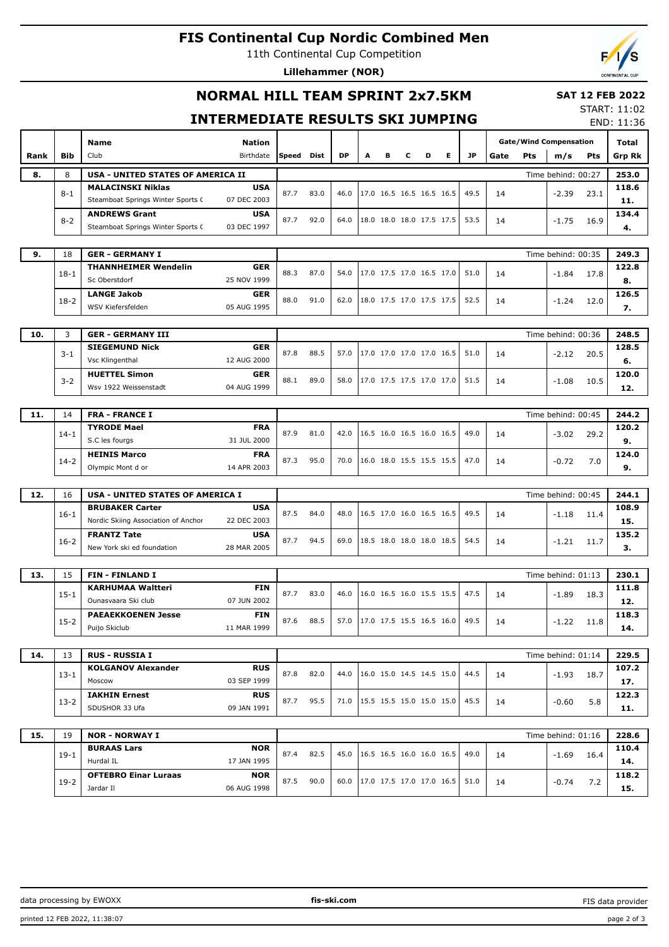# **FIS Continental Cup Nordic Combined Men**

11th Continental Cup Competition

**Lillehammer (NOR)**



### **NORMAL HILL TEAM SPRINT 2x7.5KM**

#### **SAT 12 FEB 2022** START: 11:02

## **INTERMEDIATE RESULTS SKI JUMPING**

END: 11:36

|      |            |                                         |                           |       |      |           |   |   |   |                          |   |      |                               |                    |                    |       | END: 11:30    |
|------|------------|-----------------------------------------|---------------------------|-------|------|-----------|---|---|---|--------------------------|---|------|-------------------------------|--------------------|--------------------|-------|---------------|
|      |            | Name                                    | <b>Nation</b>             |       |      |           |   |   |   |                          |   |      | <b>Gate/Wind Compensation</b> | Total              |                    |       |               |
| Rank | <b>Bib</b> | Club                                    | Birthdate                 | Speed | Dist | <b>DP</b> | A | в | с | D                        | Е | JP   | Gate                          | Pts                | m/s                | Pts   | <b>Grp Rk</b> |
| 8.   | 8          | USA - UNITED STATES OF AMERICA II       |                           |       |      |           |   |   |   |                          |   |      |                               | Time behind: 00:27 |                    | 253.0 |               |
|      |            | <b>MALACINSKI Niklas</b>                |                           |       |      |           |   |   |   |                          |   |      |                               |                    |                    | 118.6 |               |
|      | $8 - 1$    | Steamboat Springs Winter Sports C       | <b>USA</b><br>07 DEC 2003 | 87.7  | 83.0 | 46.0      |   |   |   | 17.0 16.5 16.5 16.5 16.5 |   | 49.5 | 14                            |                    | $-2.39$            | 23.1  |               |
|      |            |                                         |                           |       |      |           |   |   |   |                          |   |      |                               |                    |                    |       | 11.           |
|      | $8 - 2$    | <b>ANDREWS Grant</b>                    | <b>USA</b>                | 87.7  | 92.0 | 64.0      |   |   |   | 18.0 18.0 18.0 17.5 17.5 |   | 53.5 | 14                            |                    | $-1.75$            | 16.9  | 134.4         |
|      |            | Steamboat Springs Winter Sports C       | 03 DEC 1997               |       |      |           |   |   |   |                          |   |      |                               |                    |                    |       | 4.            |
|      |            |                                         |                           |       |      |           |   |   |   |                          |   |      |                               |                    |                    |       |               |
| 9.   | 18         | <b>GER - GERMANY I</b>                  |                           |       |      |           |   |   |   |                          |   |      |                               |                    | Time behind: 00:35 |       | 249.3         |
|      | $18-1$     | <b>THANNHEIMER Wendelin</b>             | <b>GER</b>                | 88.3  | 87.0 | 54.0      |   |   |   | 17.0 17.5 17.0 16.5 17.0 |   | 51.0 | 14                            |                    | $-1.84$            | 17.8  | 122.8         |
|      |            | Sc Oberstdorf                           | 25 NOV 1999               |       |      |           |   |   |   |                          |   |      |                               |                    |                    |       | 8.            |
|      | $18-2$     | <b>LANGE Jakob</b>                      | GER                       | 88.0  | 91.0 | 62.0      |   |   |   | 18.0 17.5 17.0 17.5 17.5 |   | 52.5 | 14                            |                    | $-1.24$            | 12.0  | 126.5         |
|      |            | WSV Kiefersfelden                       | 05 AUG 1995               |       |      |           |   |   |   |                          |   |      |                               |                    |                    |       | 7.            |
|      |            |                                         |                           |       |      |           |   |   |   |                          |   |      |                               |                    |                    |       |               |
| 10.  | 3          | <b>GER - GERMANY III</b>                |                           |       |      |           |   |   |   |                          |   |      |                               |                    | Time behind: 00:36 |       | 248.5         |
|      | $3 - 1$    | <b>SIEGEMUND Nick</b>                   | <b>GER</b>                | 87.8  | 88.5 | 57.0      |   |   |   | 17.0 17.0 17.0 17.0 16.5 |   | 51.0 | 14                            |                    | $-2.12$            | 20.5  | 128.5         |
|      |            | Vsc Klingenthal                         | 12 AUG 2000               |       |      |           |   |   |   |                          |   |      |                               |                    |                    |       | 6.            |
|      | $3 - 2$    | <b>HUETTEL Simon</b>                    | <b>GER</b>                | 88.1  | 89.0 | 58.0      |   |   |   | 17.0 17.5 17.5 17.0 17.0 |   | 51.5 | 14                            |                    | $-1.08$            | 10.5  | 120.0         |
|      |            | Wsv 1922 Weissenstadt                   | 04 AUG 1999               |       |      |           |   |   |   |                          |   |      |                               |                    |                    |       | 12.           |
|      |            |                                         |                           |       |      |           |   |   |   |                          |   |      |                               |                    |                    |       |               |
| 11.  | 14         | <b>FRA - FRANCE I</b>                   | Time behind: 00:45        |       |      |           |   |   |   |                          |   |      | 244.2                         |                    |                    |       |               |
|      | $14-1$     | <b>TYRODE Mael</b>                      | <b>FRA</b>                | 87.9  | 81.0 | 42.0      |   |   |   | 16.5 16.0 16.5 16.0 16.5 |   | 49.0 | 14                            |                    | $-3.02$            | 29.2  | 120.2         |
|      |            | S.C les fourgs                          | 31 JUL 2000               |       |      |           |   |   |   |                          |   |      |                               |                    |                    |       | 9.            |
|      |            | <b>HEINIS Marco</b>                     | <b>FRA</b>                | 87.3  | 95.0 | 70.0      |   |   |   | 16.0 18.0 15.5 15.5 15.5 |   | 47.0 |                               |                    |                    |       | 124.0         |
|      | $14 - 2$   | Olympic Mont d or                       | 14 APR 2003               |       |      |           |   |   |   |                          |   |      | 14                            |                    | $-0.72$            | 7.0   | 9.            |
|      |            |                                         |                           |       |      |           |   |   |   |                          |   |      |                               |                    |                    |       |               |
| 12.  | 16         | <b>USA - UNITED STATES OF AMERICA I</b> |                           |       |      |           |   |   |   |                          |   |      |                               |                    | Time behind: 00:45 |       | 244.1         |
|      |            | <b>BRUBAKER Carter</b>                  | <b>USA</b>                |       |      |           |   |   |   |                          |   |      |                               |                    |                    |       | 108.9         |
|      | $16 - 1$   | Nordic Skiing Association of Anchor     | 22 DEC 2003               | 87.5  | 84.0 | 48.0      |   |   |   | 16.5 17.0 16.0 16.5 16.5 |   | 49.5 | 14                            |                    | $-1.18$            | 11.4  | 15.           |
|      |            | <b>FRANTZ Tate</b>                      | <b>USA</b>                |       |      |           |   |   |   |                          |   |      |                               |                    |                    |       | 135.2         |
|      | $16 - 2$   | New York ski ed foundation              | 28 MAR 2005               | 87.7  | 94.5 | 69.0      |   |   |   | 18.5 18.0 18.0 18.0 18.5 |   | 54.5 | 14                            |                    | $-1.21$            | 11.7  | з.            |
|      |            |                                         |                           |       |      |           |   |   |   |                          |   |      |                               |                    |                    |       |               |
| 13.  | 15         | <b>FIN - FINLAND I</b>                  |                           |       |      |           |   |   |   |                          |   |      |                               |                    | Time behind: 01:13 |       | 230.1         |
|      |            | <b>KARHUMAA Waltteri</b>                | <b>FIN</b>                |       |      |           |   |   |   |                          |   |      |                               |                    |                    |       | 111.8         |
|      | $15 - 1$   | Ounasvaara Ski club                     | 07 JUN 2002               | 87.7  | 83.0 | 46.0      |   |   |   | 16.0 16.5 16.0 15.5 15.5 |   | 47.5 | 14                            |                    | $-1.89$            | 18.3  | 12.           |
|      |            | <b>PAEAEKKOENEN Jesse</b>               | <b>FIN</b>                |       |      |           |   |   |   |                          |   |      |                               |                    |                    |       | 118.3         |
|      | $15 - 2$   | Puijo Skiclub                           | 11 MAR 1999               | 87.6  | 88.5 | 57.0      |   |   |   | 17.0 17.5 15.5 16.5 16.0 |   | 49.5 | 14                            |                    | $-1.22$            | 11.8  | 14.           |
|      |            |                                         |                           |       |      |           |   |   |   |                          |   |      |                               |                    |                    |       |               |
| 14.  | 13         | <b>RUS - RUSSIA I</b>                   |                           |       |      |           |   |   |   |                          |   |      |                               |                    | Time behind: 01:14 |       | 229.5         |
|      |            | <b>KOLGANOV Alexander</b>               | <b>RUS</b>                |       |      |           |   |   |   |                          |   |      |                               |                    |                    |       | 107.2         |
|      | $13 - 1$   | Moscow                                  | 03 SEP 1999               | 87.8  | 82.0 | 44.0      |   |   |   | 16.0 15.0 14.5 14.5 15.0 |   | 44.5 | 14                            |                    | $-1.93$ 18.7       |       | 17.           |
|      |            | <b>IAKHIN Ernest</b>                    | <b>RUS</b>                |       |      |           |   |   |   |                          |   |      |                               |                    |                    |       | 122.3         |
|      | $13-2$     | SDUSHOR 33 Ufa                          | 09 JAN 1991               | 87.7  | 95.5 | 71.0      |   |   |   | 15.5 15.5 15.0 15.0 15.0 |   | 45.5 | 14                            |                    | $-0.60$            | 5.8   | 11.           |
|      |            |                                         |                           |       |      |           |   |   |   |                          |   |      |                               |                    |                    |       |               |
| 15.  | 19         | <b>NOR - NORWAY I</b>                   |                           |       |      |           |   |   |   |                          |   |      |                               |                    | Time behind: 01:16 |       | 228.6         |
|      |            | <b>BURAAS Lars</b>                      | <b>NOR</b>                |       |      |           |   |   |   |                          |   |      |                               |                    |                    |       | 110.4         |
|      | $19-1$     | Hurdal IL                               | 17 JAN 1995               | 87.4  | 82.5 | 45.0      |   |   |   | 16.5 16.5 16.0 16.0 16.5 |   | 49.0 | 14                            |                    | $-1.69$ 16.4       |       | 14.           |
|      |            | <b>OFTEBRO Einar Luraas</b>             | <b>NOR</b>                |       |      |           |   |   |   |                          |   |      |                               |                    |                    |       | 118.2         |
|      | $19-2$     | Jardar II                               | 06 AUG 1998               | 87.5  | 90.0 | 60.0      |   |   |   | 17.0 17.5 17.0 17.0 16.5 |   | 51.0 | 14                            |                    | -0.74              | 7.2   |               |
|      |            |                                         |                           |       |      |           |   |   |   |                          |   |      |                               |                    |                    |       | 15.           |